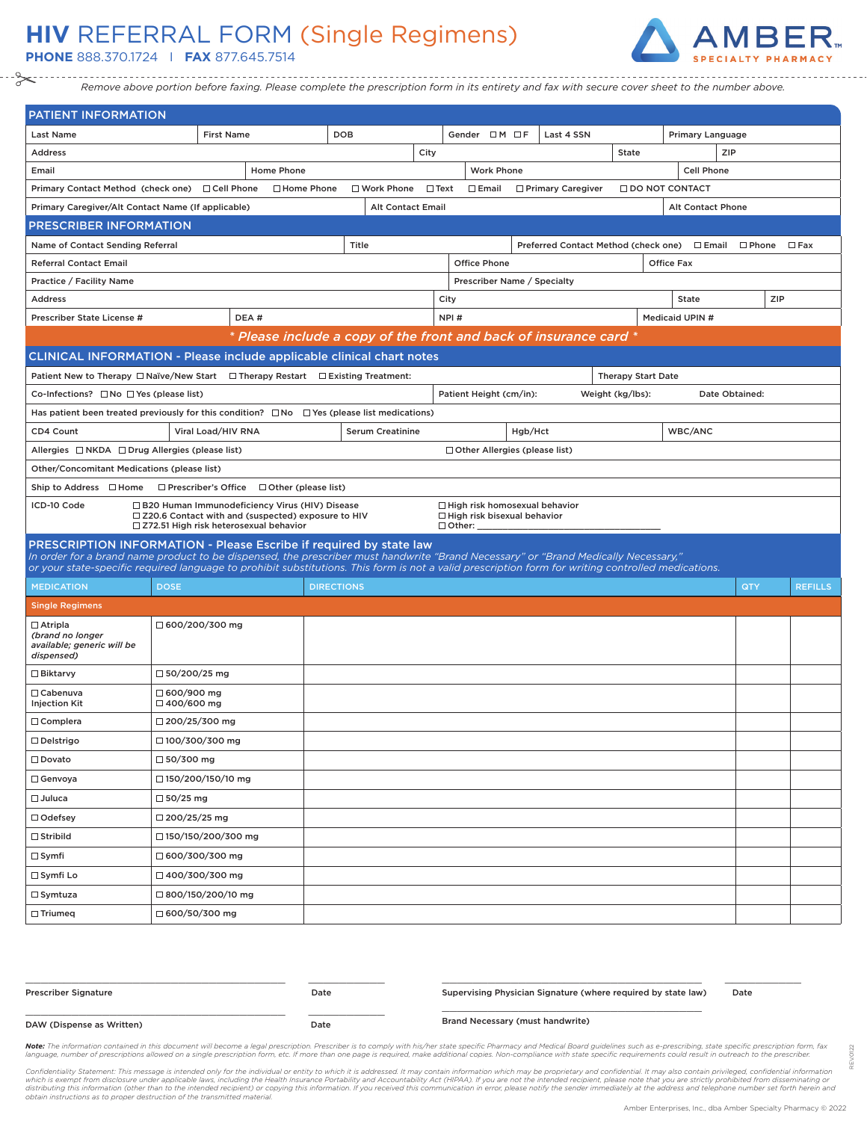## **HIV** REFERRAL FORM (Single Regimens)





*Remove above portion before faxing. Please complete the prescription form in its entirety and fax with secure cover sheet to the number above.*

| <b>PATIENT INFORMATION</b>                                                                                                                                                                                                                                                                                                                                     |                                        |                           |                                                                                                                                                      |                   |                          |             |               |                                      |         |                                                                   |                           |                   |                   |                           |     |                |
|----------------------------------------------------------------------------------------------------------------------------------------------------------------------------------------------------------------------------------------------------------------------------------------------------------------------------------------------------------------|----------------------------------------|---------------------------|------------------------------------------------------------------------------------------------------------------------------------------------------|-------------------|--------------------------|-------------|---------------|--------------------------------------|---------|-------------------------------------------------------------------|---------------------------|-------------------|-------------------|---------------------------|-----|----------------|
| <b>Last Name</b>                                                                                                                                                                                                                                                                                                                                               |                                        | <b>First Name</b>         |                                                                                                                                                      |                   | <b>DOB</b>               |             |               | Gender $\Box M \Box F$               |         | Last 4 SSN                                                        |                           |                   | Primary Language  |                           |     |                |
| <b>Address</b>                                                                                                                                                                                                                                                                                                                                                 |                                        |                           |                                                                                                                                                      |                   |                          | City        |               |                                      |         |                                                                   | State                     |                   |                   | ZIP                       |     |                |
| Email                                                                                                                                                                                                                                                                                                                                                          |                                        |                           | <b>Home Phone</b>                                                                                                                                    |                   |                          |             |               | <b>Work Phone</b>                    |         |                                                                   |                           |                   | Cell Phone        |                           |     |                |
| Primary Contact Method (check one) □ Cell Phone                                                                                                                                                                                                                                                                                                                |                                        |                           | □ Home Phone                                                                                                                                         |                   | □ Work Phone             | $\Box$ Text |               | $\square$ Email                      |         | □ Primary Caregiver                                               | <b>IDO NOT CONTACT</b>    |                   |                   |                           |     |                |
| Primary Caregiver/Alt Contact Name (If applicable)                                                                                                                                                                                                                                                                                                             |                                        |                           |                                                                                                                                                      |                   | <b>Alt Contact Email</b> |             |               |                                      |         |                                                                   |                           |                   | Alt Contact Phone |                           |     |                |
| <b>PRESCRIBER INFORMATION</b>                                                                                                                                                                                                                                                                                                                                  |                                        |                           |                                                                                                                                                      |                   |                          |             |               |                                      |         |                                                                   |                           |                   |                   |                           |     |                |
| Name of Contact Sending Referral                                                                                                                                                                                                                                                                                                                               |                                        |                           |                                                                                                                                                      |                   | Title                    |             |               |                                      |         | Preferred Contact Method (check one)                              |                           |                   |                   | $\Box$ Email $\Box$ Phone |     | $\Box$ Fax     |
| <b>Referral Contact Email</b>                                                                                                                                                                                                                                                                                                                                  |                                        |                           |                                                                                                                                                      |                   |                          |             |               | Office Phone                         |         |                                                                   |                           | <b>Office Fax</b> |                   |                           |     |                |
| Practice / Facility Name                                                                                                                                                                                                                                                                                                                                       |                                        |                           |                                                                                                                                                      |                   |                          |             |               |                                      |         | Prescriber Name / Specialty                                       |                           |                   |                   |                           |     |                |
| <b>Address</b>                                                                                                                                                                                                                                                                                                                                                 |                                        |                           |                                                                                                                                                      |                   |                          |             | City          |                                      |         |                                                                   |                           |                   | State             |                           | ZIP |                |
| Prescriber State License #                                                                                                                                                                                                                                                                                                                                     |                                        | DEA#                      |                                                                                                                                                      |                   |                          |             | NPI#          |                                      |         |                                                                   |                           |                   | Medicaid UPIN #   |                           |     |                |
|                                                                                                                                                                                                                                                                                                                                                                |                                        |                           |                                                                                                                                                      |                   |                          |             |               |                                      |         | * Please include a copy of the front and back of insurance card * |                           |                   |                   |                           |     |                |
| <b>CLINICAL INFORMATION - Please include applicable clinical chart notes</b>                                                                                                                                                                                                                                                                                   |                                        |                           |                                                                                                                                                      |                   |                          |             |               |                                      |         |                                                                   |                           |                   |                   |                           |     |                |
| Patient New to Therapy $\Box$ Naïve/New Start $\Box$ Therapy Restart $\Box$ Existing Treatment:                                                                                                                                                                                                                                                                |                                        |                           |                                                                                                                                                      |                   |                          |             |               |                                      |         |                                                                   | <b>Therapy Start Date</b> |                   |                   |                           |     |                |
| Co-Infections? $\Box$ No $\Box$ Yes (please list)                                                                                                                                                                                                                                                                                                              |                                        |                           |                                                                                                                                                      |                   |                          |             |               | Patient Height (cm/in):              |         |                                                                   | Weight (kg/lbs):          |                   |                   | Date Obtained:            |     |                |
| Has patient been treated previously for this condition? $\square$ No $\square$ Yes (please list medications)                                                                                                                                                                                                                                                   |                                        |                           |                                                                                                                                                      |                   |                          |             |               |                                      |         |                                                                   |                           |                   |                   |                           |     |                |
| CD4 Count                                                                                                                                                                                                                                                                                                                                                      |                                        | Viral Load/HIV RNA        |                                                                                                                                                      |                   | <b>Serum Creatinine</b>  |             |               |                                      | Hgb/Hct |                                                                   |                           |                   | WBC/ANC           |                           |     |                |
| Allergies □ NKDA □ Drug Allergies (please list)                                                                                                                                                                                                                                                                                                                |                                        |                           |                                                                                                                                                      |                   |                          |             |               | $\Box$ Other Allergies (please list) |         |                                                                   |                           |                   |                   |                           |     |                |
| Other/Concomitant Medications (please list)                                                                                                                                                                                                                                                                                                                    |                                        |                           |                                                                                                                                                      |                   |                          |             |               |                                      |         |                                                                   |                           |                   |                   |                           |     |                |
| Ship to Address □ Home                                                                                                                                                                                                                                                                                                                                         |                                        |                           | $\Box$ Prescriber's Office $\Box$ Other (please list)                                                                                                |                   |                          |             |               |                                      |         |                                                                   |                           |                   |                   |                           |     |                |
| ICD-10 Code                                                                                                                                                                                                                                                                                                                                                    |                                        |                           | □ B20 Human Immunodeficiency Virus (HIV) Disease<br>□ Z20.6 Contact with and (suspected) exposure to HIV<br>□ Z72.51 High risk heterosexual behavior |                   |                          |             | $\Box$ Other: | $\Box$ High risk bisexual behavior   |         | $\Box$ High risk homosexual behavior                              |                           |                   |                   |                           |     |                |
| PRESCRIPTION INFORMATION - Please Escribe if required by state law<br>In order for a brand name product to be dispensed, the prescriber must handwrite "Brand Necessary" or "Brand Medically Necessary,"<br>or your state-specific required language to prohibit substitutions. This form is not a valid prescription form for writing controlled medications. |                                        |                           |                                                                                                                                                      |                   |                          |             |               |                                      |         |                                                                   |                           |                   |                   |                           |     |                |
| <b>MEDICATION</b>                                                                                                                                                                                                                                                                                                                                              | <b>DOSE</b>                            |                           |                                                                                                                                                      | <b>DIRECTIONS</b> |                          |             |               |                                      |         |                                                                   |                           |                   |                   | QTY                       |     | <b>REFILLS</b> |
| <b>Single Regimens</b>                                                                                                                                                                                                                                                                                                                                         |                                        |                           |                                                                                                                                                      |                   |                          |             |               |                                      |         |                                                                   |                           |                   |                   |                           |     |                |
| $\Box$ Atripla<br>(brand no longer<br>available; generic will be<br>dispensed)                                                                                                                                                                                                                                                                                 | $\Box$ 600/200/300 mg                  |                           |                                                                                                                                                      |                   |                          |             |               |                                      |         |                                                                   |                           |                   |                   |                           |     |                |
| $\Box$ Biktarvy                                                                                                                                                                                                                                                                                                                                                | $\Box$ 50/200/25 mg                    |                           |                                                                                                                                                      |                   |                          |             |               |                                      |         |                                                                   |                           |                   |                   |                           |     |                |
| $\Box$ Cabenuva<br><b>Injection Kit</b>                                                                                                                                                                                                                                                                                                                        | $\Box$ 600/900 mg<br>$\Box$ 400/600 mg |                           |                                                                                                                                                      |                   |                          |             |               |                                      |         |                                                                   |                           |                   |                   |                           |     |                |
| $\Box$ Complera                                                                                                                                                                                                                                                                                                                                                | $\Box$ 200/25/300 mg                   |                           |                                                                                                                                                      |                   |                          |             |               |                                      |         |                                                                   |                           |                   |                   |                           |     |                |
| $\Box$ Delstrigo                                                                                                                                                                                                                                                                                                                                               | □ 100/300/300 mg                       |                           |                                                                                                                                                      |                   |                          |             |               |                                      |         |                                                                   |                           |                   |                   |                           |     |                |
| $\Box$ Dovato                                                                                                                                                                                                                                                                                                                                                  | $\Box$ 50/300 mg                       |                           |                                                                                                                                                      |                   |                          |             |               |                                      |         |                                                                   |                           |                   |                   |                           |     |                |
| $\Box$ Genvoya                                                                                                                                                                                                                                                                                                                                                 |                                        | □ 150/200/150/10 mg       |                                                                                                                                                      |                   |                          |             |               |                                      |         |                                                                   |                           |                   |                   |                           |     |                |
| $\Box$ Juluca                                                                                                                                                                                                                                                                                                                                                  | $\square$ 50/25 mg                     |                           |                                                                                                                                                      |                   |                          |             |               |                                      |         |                                                                   |                           |                   |                   |                           |     |                |
| $\Box$ Odefsey                                                                                                                                                                                                                                                                                                                                                 | $\Box$ 200/25/25 mg                    |                           |                                                                                                                                                      |                   |                          |             |               |                                      |         |                                                                   |                           |                   |                   |                           |     |                |
| $\Box$ Stribild                                                                                                                                                                                                                                                                                                                                                |                                        | $\Box$ 150/150/200/300 mg |                                                                                                                                                      |                   |                          |             |               |                                      |         |                                                                   |                           |                   |                   |                           |     |                |
| $\square$ Symfi                                                                                                                                                                                                                                                                                                                                                | $\Box$ 600/300/300 mg                  |                           |                                                                                                                                                      |                   |                          |             |               |                                      |         |                                                                   |                           |                   |                   |                           |     |                |
| $\Box$ Symfi Lo                                                                                                                                                                                                                                                                                                                                                | $\Box$ 400/300/300 mg                  |                           |                                                                                                                                                      |                   |                          |             |               |                                      |         |                                                                   |                           |                   |                   |                           |     |                |
| $\Box$ Symtuza                                                                                                                                                                                                                                                                                                                                                 |                                        | □ 800/150/200/10 mg       |                                                                                                                                                      |                   |                          |             |               |                                      |         |                                                                   |                           |                   |                   |                           |     |                |
| $\Box$ Triumeq                                                                                                                                                                                                                                                                                                                                                 | $\Box$ 600/50/300 mg                   |                           |                                                                                                                                                      |                   |                          |             |               |                                      |         |                                                                   |                           |                   |                   |                           |     |                |

| <b>Prescriber Signature</b> | Date | Supervising Physician Signature (where required by state law) | Date |
|-----------------------------|------|---------------------------------------------------------------|------|
| DAW (Dispense as Written)   | Date | <b>Brand Necessary (must handwrite)</b>                       |      |

Note: The information contained in this document will become a legal prescription. Prescriber is to comply with his/her state specific Pharmacy and Medical Board guidelines such as e-prescribing, state specific prescriptio language, number of prescriptions allowed on a single prescription form, etc. If more than one page is required, make additional copies. Non-compliance with state specific requirements could result in outreach to the presc

Confidentiality Statement: This message is intended only for the individual or entity to which it is addressed. It may contain information which may be proprietary and confidential. It may also contain privileged, confiden *obtain instructions as to proper destruction of the transmitted material.*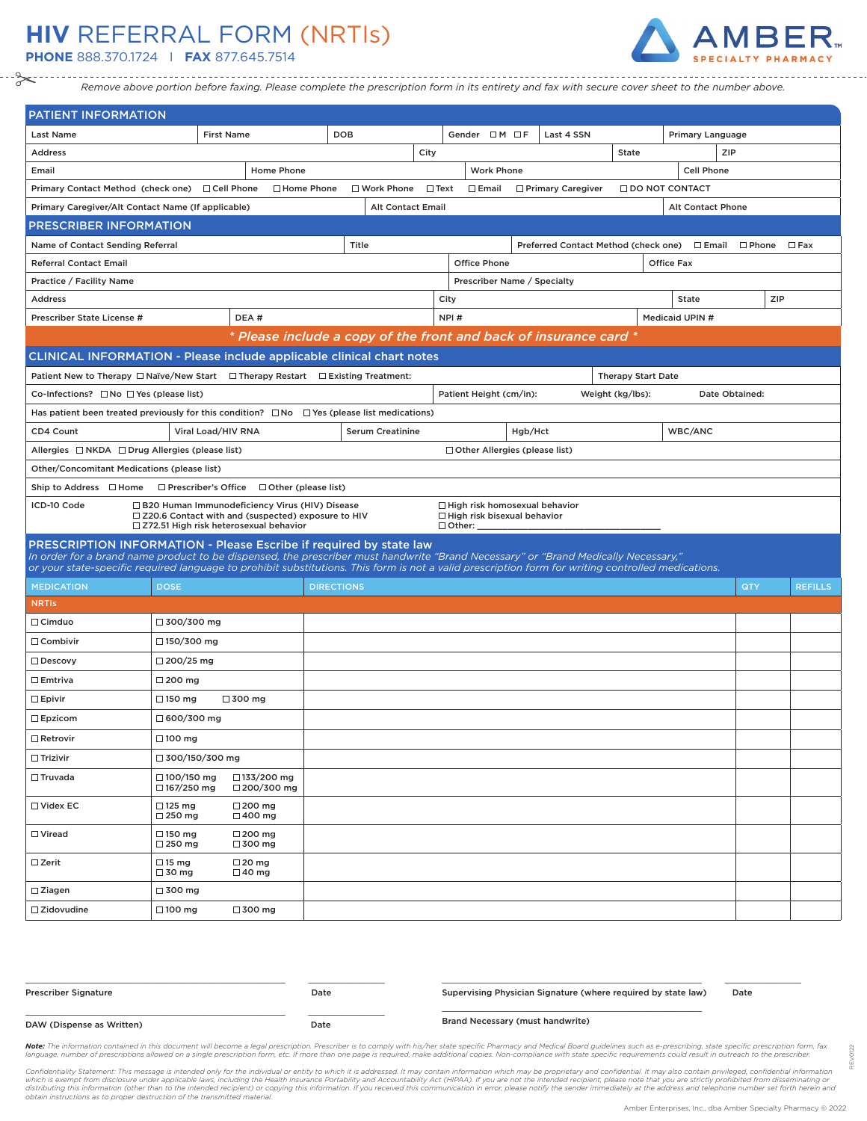## **PHONE** 888.370.1724 I **FAX** 877.645.7514 **HIV** REFERRAL FORM (NRTIs)



*Remove above portion before faxing. Please complete the prescription form in its entirety and fax with secure cover sheet to the number above.*

| <b>PATIENT INFORMATION</b>                                                                                                                                                                                                                                                                                                                                            |                                           |                                          |                                                                                                          |                                                                   |             |                                                                                             |                   |         |                                      |                           |                   |                                 |     |                |
|-----------------------------------------------------------------------------------------------------------------------------------------------------------------------------------------------------------------------------------------------------------------------------------------------------------------------------------------------------------------------|-------------------------------------------|------------------------------------------|----------------------------------------------------------------------------------------------------------|-------------------------------------------------------------------|-------------|---------------------------------------------------------------------------------------------|-------------------|---------|--------------------------------------|---------------------------|-------------------|---------------------------------|-----|----------------|
| <b>Last Name</b>                                                                                                                                                                                                                                                                                                                                                      |                                           | <b>First Name</b>                        |                                                                                                          | DOB                                                               |             | Gender OM OF                                                                                |                   |         | Last 4 SSN                           |                           |                   | <b>Primary Language</b>         |     |                |
| <b>Address</b>                                                                                                                                                                                                                                                                                                                                                        |                                           |                                          |                                                                                                          |                                                                   | City        |                                                                                             |                   |         |                                      | State                     |                   | ZIP                             |     |                |
| Email                                                                                                                                                                                                                                                                                                                                                                 |                                           |                                          | Home Phone                                                                                               |                                                                   |             |                                                                                             | <b>Work Phone</b> |         |                                      |                           |                   | <b>Cell Phone</b>               |     |                |
| Primary Contact Method (check one)                                                                                                                                                                                                                                                                                                                                    |                                           | □ Cell Phone                             | □ Home Phone                                                                                             | □ Work Phone                                                      | $\Box$ Text | $\square$ Email                                                                             |                   |         | □ Primary Caregiver                  | <b>IDO NOT CONTACT</b>    |                   |                                 |     |                |
| Primary Caregiver/Alt Contact Name (If applicable)                                                                                                                                                                                                                                                                                                                    |                                           |                                          |                                                                                                          | <b>Alt Contact Email</b>                                          |             |                                                                                             |                   |         |                                      |                           |                   | <b>Alt Contact Phone</b>        |     |                |
| <b>PRESCRIBER INFORMATION</b>                                                                                                                                                                                                                                                                                                                                         |                                           |                                          |                                                                                                          |                                                                   |             |                                                                                             |                   |         |                                      |                           |                   |                                 |     |                |
| Name of Contact Sending Referral                                                                                                                                                                                                                                                                                                                                      |                                           |                                          |                                                                                                          | Title                                                             |             |                                                                                             |                   |         | Preferred Contact Method (check one) |                           |                   | $\square$ Email $\square$ Phone |     | $\Box$ Fax     |
| <b>Referral Contact Email</b>                                                                                                                                                                                                                                                                                                                                         |                                           |                                          |                                                                                                          |                                                                   |             | <b>Office Phone</b>                                                                         |                   |         |                                      |                           | <b>Office Fax</b> |                                 |     |                |
| Practice / Facility Name                                                                                                                                                                                                                                                                                                                                              |                                           |                                          |                                                                                                          |                                                                   |             |                                                                                             |                   |         | Prescriber Name / Specialty          |                           |                   |                                 |     |                |
| <b>Address</b>                                                                                                                                                                                                                                                                                                                                                        |                                           |                                          |                                                                                                          |                                                                   |             | City                                                                                        |                   |         |                                      |                           | State             |                                 | ZIP |                |
| Prescriber State License #                                                                                                                                                                                                                                                                                                                                            |                                           | DEA#                                     |                                                                                                          |                                                                   |             | NPI#                                                                                        |                   |         |                                      |                           | Medicaid UPIN #   |                                 |     |                |
|                                                                                                                                                                                                                                                                                                                                                                       |                                           |                                          |                                                                                                          | * Please include a copy of the front and back of insurance card * |             |                                                                                             |                   |         |                                      |                           |                   |                                 |     |                |
| <b>CLINICAL INFORMATION - Please include applicable clinical chart notes</b>                                                                                                                                                                                                                                                                                          |                                           |                                          |                                                                                                          |                                                                   |             |                                                                                             |                   |         |                                      |                           |                   |                                 |     |                |
| Patient New to Therapy $\Box$ Naïve/New Start $\Box$ Therapy Restart $\Box$ Existing Treatment:                                                                                                                                                                                                                                                                       |                                           |                                          |                                                                                                          |                                                                   |             |                                                                                             |                   |         |                                      | <b>Therapy Start Date</b> |                   |                                 |     |                |
| Co-Infections? $\Box$ No $\Box$ Yes (please list)                                                                                                                                                                                                                                                                                                                     |                                           |                                          |                                                                                                          |                                                                   |             | Patient Height (cm/in):                                                                     |                   |         |                                      | Weight (kg/lbs):          |                   | Date Obtained:                  |     |                |
| Has patient been treated previously for this condition? $\Box$ No $\Box$ Yes (please list medications)                                                                                                                                                                                                                                                                |                                           |                                          |                                                                                                          |                                                                   |             |                                                                                             |                   |         |                                      |                           |                   |                                 |     |                |
| CD4 Count                                                                                                                                                                                                                                                                                                                                                             |                                           | Viral Load/HIV RNA                       |                                                                                                          | <b>Serum Creatinine</b>                                           |             |                                                                                             |                   | Hgb/Hct |                                      |                           | WBC/ANC           |                                 |     |                |
| Allergies □ NKDA □ Drug Allergies (please list)                                                                                                                                                                                                                                                                                                                       |                                           |                                          |                                                                                                          |                                                                   |             | $\Box$ Other Allergies (please list)                                                        |                   |         |                                      |                           |                   |                                 |     |                |
| Other/Concomitant Medications (please list)                                                                                                                                                                                                                                                                                                                           |                                           |                                          |                                                                                                          |                                                                   |             |                                                                                             |                   |         |                                      |                           |                   |                                 |     |                |
| □ Prescriber's Office<br>Ship to Address □ Home<br>$\Box$ Other (please list)                                                                                                                                                                                                                                                                                         |                                           |                                          |                                                                                                          |                                                                   |             |                                                                                             |                   |         |                                      |                           |                   |                                 |     |                |
| ICD-10 Code                                                                                                                                                                                                                                                                                                                                                           |                                           | □ Z72.51 High risk heterosexual behavior | □ B20 Human Immunodeficiency Virus (HIV) Disease<br>□ Z20.6 Contact with and (suspected) exposure to HIV |                                                                   |             | $\Box$ High risk homosexual behavior<br>$\Box$ High risk bisexual behavior<br>$\Box$ Other: |                   |         |                                      |                           |                   |                                 |     |                |
| <b>PRESCRIPTION INFORMATION - Please Escribe if required by state law</b><br>In order for a brand name product to be dispensed, the prescriber must handwrite "Brand Necessary" or "Brand Medically Necessary,"<br>or your state-specific required language to prohibit substitutions. This form is not a valid prescription form for writing controlled medications. |                                           |                                          |                                                                                                          |                                                                   |             |                                                                                             |                   |         |                                      |                           |                   |                                 |     |                |
| <b>MEDICATION</b>                                                                                                                                                                                                                                                                                                                                                     | <b>DOSE</b>                               |                                          |                                                                                                          | <b>DIRECTIONS</b>                                                 |             |                                                                                             |                   |         |                                      |                           |                   |                                 | QTY | <b>REFILLS</b> |
| <b>NRTIS</b>                                                                                                                                                                                                                                                                                                                                                          |                                           |                                          |                                                                                                          |                                                                   |             |                                                                                             |                   |         |                                      |                           |                   |                                 |     |                |
| $\Box$ Cimduo                                                                                                                                                                                                                                                                                                                                                         | $\Box$ 300/300 mg                         |                                          |                                                                                                          |                                                                   |             |                                                                                             |                   |         |                                      |                           |                   |                                 |     |                |
| $\Box$ Combivir                                                                                                                                                                                                                                                                                                                                                       | $\square$ 150/300 mg                      |                                          |                                                                                                          |                                                                   |             |                                                                                             |                   |         |                                      |                           |                   |                                 |     |                |
| Descovy                                                                                                                                                                                                                                                                                                                                                               | $\Box$ 200/25 mg                          |                                          |                                                                                                          |                                                                   |             |                                                                                             |                   |         |                                      |                           |                   |                                 |     |                |
| $\square$ Emtriva                                                                                                                                                                                                                                                                                                                                                     | $\Box$ 200 mg                             |                                          |                                                                                                          |                                                                   |             |                                                                                             |                   |         |                                      |                           |                   |                                 |     |                |
| $\Box$ Epivir                                                                                                                                                                                                                                                                                                                                                         | $\Box$ 150 mg                             | $\square$ 300 mg                         |                                                                                                          |                                                                   |             |                                                                                             |                   |         |                                      |                           |                   |                                 |     |                |
| $\Box$ Epzicom                                                                                                                                                                                                                                                                                                                                                        | $\Box$ 600/300 mg                         |                                          |                                                                                                          |                                                                   |             |                                                                                             |                   |         |                                      |                           |                   |                                 |     |                |
| $\Box$ Retrovir                                                                                                                                                                                                                                                                                                                                                       | $\Box$ 100 mg                             |                                          |                                                                                                          |                                                                   |             |                                                                                             |                   |         |                                      |                           |                   |                                 |     |                |
| $\Box$ Trizivir                                                                                                                                                                                                                                                                                                                                                       | $\Box$ 300/150/300 mg                     |                                          |                                                                                                          |                                                                   |             |                                                                                             |                   |         |                                      |                           |                   |                                 |     |                |
| $\Box$ Truvada                                                                                                                                                                                                                                                                                                                                                        | $\Box$ 100/150 mg<br>$\square$ 167/250 mg | $\Box$ 133/200 mg                        | □ 200/300 mg                                                                                             |                                                                   |             |                                                                                             |                   |         |                                      |                           |                   |                                 |     |                |
| $\Box$ Videx EC                                                                                                                                                                                                                                                                                                                                                       | $\Box$ 125 mg<br>$\square$ 250 mg         | □ 200 mg<br>$\Box$ 400 mg                |                                                                                                          |                                                                   |             |                                                                                             |                   |         |                                      |                           |                   |                                 |     |                |
| $\Box$ Viread                                                                                                                                                                                                                                                                                                                                                         | $\Box$ 150 mg<br>$\Box$ 250 mg            | $\Box$ 200 mg<br>$\Box$ 300 mg           |                                                                                                          |                                                                   |             |                                                                                             |                   |         |                                      |                           |                   |                                 |     |                |
| $\Box$ Zerit                                                                                                                                                                                                                                                                                                                                                          | $\Box$ 15 mg<br>$\square$ 30 mg           | $\square$ 20 mg<br>$\Box$ 40 mg          |                                                                                                          |                                                                   |             |                                                                                             |                   |         |                                      |                           |                   |                                 |     |                |
| $\square$ Ziagen                                                                                                                                                                                                                                                                                                                                                      | $\square$ 300 mg                          |                                          |                                                                                                          |                                                                   |             |                                                                                             |                   |         |                                      |                           |                   |                                 |     |                |
| □ Zidovudine                                                                                                                                                                                                                                                                                                                                                          | $\Box$ 100 mg                             | $\square$ 300 mg                         |                                                                                                          |                                                                   |             |                                                                                             |                   |         |                                      |                           |                   |                                 |     |                |

| <b>Prescriber Signature</b> | Date | Supervising Physician Signature (where required by state law) | Date |
|-----------------------------|------|---------------------------------------------------------------|------|
| DAW (Dispense as Written)   | Date | Brand Necessary (must handwrite)                              |      |

Note: The information contained in this document will become a legal prescription. Prescriber is to comply with his/her state specific Pharmacy and Medical Board guidelines such as e-prescribing, state specific prescriptio language, number of prescriptions allowed on a single prescription form, etc. If more than one page is required, make additional copies. Non-compliance with state specific requirements could result in outreach to the presc

Confidentiality Statement: This message is intended only for the individual or entity to which it is addressed. It may contain information which may be proprietary and confidential. It may also contain privileged, confiden *obtain instructions as to proper destruction of the transmitted material.*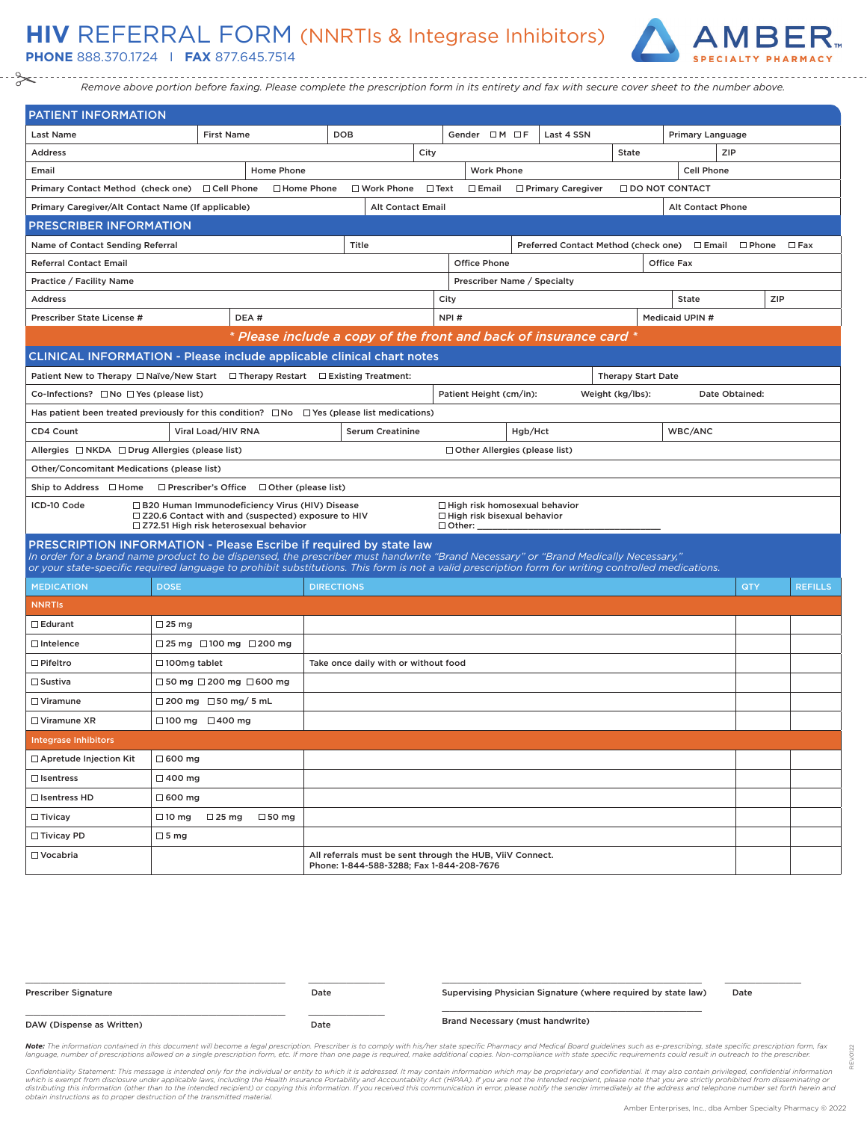## **PHONE** 888.370.1724 I **FAX** 877.645.7514 **HIV** REFERRAL FORM (NNRTIs & Integrase Inhibitors)



*Remove above portion before faxing. Please complete the prescription form in its entirety and fax with secure cover sheet to the number above.*

| <b>PATIENT INFORMATION</b>                                                                                                                                                                                                                                                                                                                                     |                                          |                                                                                                                                                                |                   |                                                                                                        |             |                                        |                                      |         |                                              |  |                           |  |                        |                |              |                |
|----------------------------------------------------------------------------------------------------------------------------------------------------------------------------------------------------------------------------------------------------------------------------------------------------------------------------------------------------------------|------------------------------------------|----------------------------------------------------------------------------------------------------------------------------------------------------------------|-------------------|--------------------------------------------------------------------------------------------------------|-------------|----------------------------------------|--------------------------------------|---------|----------------------------------------------|--|---------------------------|--|------------------------|----------------|--------------|----------------|
| Last Name                                                                                                                                                                                                                                                                                                                                                      |                                          | <b>First Name</b>                                                                                                                                              | <b>DOB</b>        |                                                                                                        |             |                                        | Gender $\Box$ M $\Box$ F             |         | Last 4 SSN                                   |  |                           |  | Primary Language       |                |              |                |
| <b>Address</b>                                                                                                                                                                                                                                                                                                                                                 |                                          |                                                                                                                                                                |                   |                                                                                                        | City        |                                        |                                      |         |                                              |  | State                     |  |                        | ZIP            |              |                |
| Email                                                                                                                                                                                                                                                                                                                                                          |                                          | <b>Home Phone</b>                                                                                                                                              |                   |                                                                                                        |             | <b>Work Phone</b><br><b>Cell Phone</b> |                                      |         |                                              |  |                           |  |                        |                |              |                |
| Primary Contact Method (check one) □ Cell Phone                                                                                                                                                                                                                                                                                                                |                                          |                                                                                                                                                                | □ Home Phone      | □ Work Phone                                                                                           | $\Box$ Text |                                        | $\square$ Email                      |         | □ Primary Caregiver                          |  |                           |  | □ DO NOT CONTACT       |                |              |                |
| Primary Caregiver/Alt Contact Name (If applicable)                                                                                                                                                                                                                                                                                                             |                                          |                                                                                                                                                                |                   | <b>Alt Contact Email</b>                                                                               |             |                                        |                                      |         |                                              |  |                           |  | Alt Contact Phone      |                |              |                |
| <b>PRESCRIBER INFORMATION</b>                                                                                                                                                                                                                                                                                                                                  |                                          |                                                                                                                                                                |                   |                                                                                                        |             |                                        |                                      |         |                                              |  |                           |  |                        |                |              |                |
| Name of Contact Sending Referral                                                                                                                                                                                                                                                                                                                               |                                          |                                                                                                                                                                |                   | Title                                                                                                  |             |                                        |                                      |         | Preferred Contact Method (check one) □ Email |  |                           |  |                        |                | $\Box$ Phone | $\square$ Fax  |
| <b>Referral Contact Email</b>                                                                                                                                                                                                                                                                                                                                  |                                          |                                                                                                                                                                |                   |                                                                                                        |             |                                        | <b>Office Phone</b>                  |         |                                              |  |                           |  | <b>Office Fax</b>      |                |              |                |
| Practice / Facility Name                                                                                                                                                                                                                                                                                                                                       |                                          |                                                                                                                                                                |                   |                                                                                                        |             |                                        | Prescriber Name / Specialty          |         |                                              |  |                           |  |                        |                |              |                |
| <b>Address</b>                                                                                                                                                                                                                                                                                                                                                 |                                          |                                                                                                                                                                |                   |                                                                                                        |             | City                                   |                                      |         |                                              |  |                           |  | State                  |                | ZIP          |                |
| Prescriber State License #                                                                                                                                                                                                                                                                                                                                     |                                          | DEA#                                                                                                                                                           |                   |                                                                                                        |             | NPI#                                   |                                      |         |                                              |  |                           |  | <b>Medicaid UPIN #</b> |                |              |                |
|                                                                                                                                                                                                                                                                                                                                                                |                                          | * Please include a copy of the front and back of insurance card *                                                                                              |                   |                                                                                                        |             |                                        |                                      |         |                                              |  |                           |  |                        |                |              |                |
| <b>CLINICAL INFORMATION - Please include applicable clinical chart notes</b>                                                                                                                                                                                                                                                                                   |                                          |                                                                                                                                                                |                   |                                                                                                        |             |                                        |                                      |         |                                              |  |                           |  |                        |                |              |                |
| Patient New to Therapy $\Box$ Naïve/New Start $\Box$ Therapy Restart $\Box$ Existing Treatment:                                                                                                                                                                                                                                                                |                                          |                                                                                                                                                                |                   |                                                                                                        |             |                                        |                                      |         |                                              |  | <b>Therapy Start Date</b> |  |                        |                |              |                |
| Co-Infections? $\Box$ No $\Box$ Yes (please list)                                                                                                                                                                                                                                                                                                              |                                          |                                                                                                                                                                |                   |                                                                                                        |             |                                        | Patient Height (cm/in):              |         |                                              |  | Weight (kg/lbs):          |  |                        | Date Obtained: |              |                |
| Has patient been treated previously for this condition? $\Box$ No $\Box$ Yes (please list medications)                                                                                                                                                                                                                                                         |                                          |                                                                                                                                                                |                   |                                                                                                        |             |                                        |                                      |         |                                              |  |                           |  |                        |                |              |                |
| CD4 Count                                                                                                                                                                                                                                                                                                                                                      | Viral Load/HIV RNA                       |                                                                                                                                                                |                   | <b>Serum Creatinine</b>                                                                                |             |                                        |                                      | Hgb/Hct |                                              |  |                           |  | WBC/ANC                |                |              |                |
| Allergies □ NKDA □ Drug Allergies (please list)                                                                                                                                                                                                                                                                                                                |                                          |                                                                                                                                                                |                   |                                                                                                        |             |                                        | $\Box$ Other Allergies (please list) |         |                                              |  |                           |  |                        |                |              |                |
| Other/Concomitant Medications (please list)                                                                                                                                                                                                                                                                                                                    |                                          |                                                                                                                                                                |                   |                                                                                                        |             |                                        |                                      |         |                                              |  |                           |  |                        |                |              |                |
| Ship to Address □ Home<br>$\Box$ Prescriber's Office $\Box$ Other (please list)                                                                                                                                                                                                                                                                                |                                          |                                                                                                                                                                |                   |                                                                                                        |             |                                        |                                      |         |                                              |  |                           |  |                        |                |              |                |
| ICD-10 Code                                                                                                                                                                                                                                                                                                                                                    |                                          | □ B20 Human Immunodeficiency Virus (HIV) Disease<br>$\Box$ Z20.6 Contact with and (suspected) exposure to HIV<br>$\Box$ Z72.51 High risk heterosexual behavior |                   |                                                                                                        |             | $\Box$ Other:                          | $\Box$ High risk bisexual behavior   |         | $\Box$ High risk homosexual behavior         |  |                           |  |                        |                |              |                |
| PRESCRIPTION INFORMATION - Please Escribe if required by state law<br>In order for a brand name product to be dispensed, the prescriber must handwrite "Brand Necessary" or "Brand Medically Necessary,"<br>or your state-specific required language to prohibit substitutions. This form is not a valid prescription form for writing controlled medications. |                                          |                                                                                                                                                                |                   |                                                                                                        |             |                                        |                                      |         |                                              |  |                           |  |                        |                |              |                |
| <b>MEDICATION</b>                                                                                                                                                                                                                                                                                                                                              | <b>DOSE</b>                              |                                                                                                                                                                | <b>DIRECTIONS</b> |                                                                                                        |             |                                        |                                      |         |                                              |  |                           |  |                        |                | QTY          | <b>REFILLS</b> |
| <b>NNRTIS</b>                                                                                                                                                                                                                                                                                                                                                  |                                          |                                                                                                                                                                |                   |                                                                                                        |             |                                        |                                      |         |                                              |  |                           |  |                        |                |              |                |
| $\Box$ Edurant                                                                                                                                                                                                                                                                                                                                                 | $\Box$ 25 mg                             |                                                                                                                                                                |                   |                                                                                                        |             |                                        |                                      |         |                                              |  |                           |  |                        |                |              |                |
| $\Box$ Intelence                                                                                                                                                                                                                                                                                                                                               | $\Box$ 25 mg $\Box$ 100 mg $\Box$ 200 mg |                                                                                                                                                                |                   |                                                                                                        |             |                                        |                                      |         |                                              |  |                           |  |                        |                |              |                |
| $\Box$ Pifeltro                                                                                                                                                                                                                                                                                                                                                | $\Box$ 100mg tablet                      |                                                                                                                                                                |                   | Take once daily with or without food                                                                   |             |                                        |                                      |         |                                              |  |                           |  |                        |                |              |                |
| $\Box$ Sustiva                                                                                                                                                                                                                                                                                                                                                 | □ 50 mg □ 200 mg □ 600 mg                |                                                                                                                                                                |                   |                                                                                                        |             |                                        |                                      |         |                                              |  |                           |  |                        |                |              |                |
| $\Box$ Viramune                                                                                                                                                                                                                                                                                                                                                | $\Box$ 200 mg $\Box$ 50 mg/ 5 mL         |                                                                                                                                                                |                   |                                                                                                        |             |                                        |                                      |         |                                              |  |                           |  |                        |                |              |                |
| $\Box$ Viramune XR                                                                                                                                                                                                                                                                                                                                             | $\Box$ 100 mg $\Box$ 400 mg              |                                                                                                                                                                |                   |                                                                                                        |             |                                        |                                      |         |                                              |  |                           |  |                        |                |              |                |
| <b>Integrase Inhibitors</b>                                                                                                                                                                                                                                                                                                                                    |                                          |                                                                                                                                                                |                   |                                                                                                        |             |                                        |                                      |         |                                              |  |                           |  |                        |                |              |                |
| □ Apretude Injection Kit                                                                                                                                                                                                                                                                                                                                       | $\Box$ 600 mg                            |                                                                                                                                                                |                   |                                                                                                        |             |                                        |                                      |         |                                              |  |                           |  |                        |                |              |                |
| $\Box$ Isentress                                                                                                                                                                                                                                                                                                                                               | $\Box$ 400 mg                            |                                                                                                                                                                |                   |                                                                                                        |             |                                        |                                      |         |                                              |  |                           |  |                        |                |              |                |
| □ Isentress HD                                                                                                                                                                                                                                                                                                                                                 | $\Box$ 600 mg                            |                                                                                                                                                                |                   |                                                                                                        |             |                                        |                                      |         |                                              |  |                           |  |                        |                |              |                |
| $\Box$ Tivicay                                                                                                                                                                                                                                                                                                                                                 | $\Box$ 25 mg<br>$\Box$ 10 mg             | $\square$ 50 mg                                                                                                                                                |                   |                                                                                                        |             |                                        |                                      |         |                                              |  |                           |  |                        |                |              |                |
| □ Tivicay PD                                                                                                                                                                                                                                                                                                                                                   | $\Box$ 5 mg                              |                                                                                                                                                                |                   |                                                                                                        |             |                                        |                                      |         |                                              |  |                           |  |                        |                |              |                |
| □ Vocabria                                                                                                                                                                                                                                                                                                                                                     |                                          |                                                                                                                                                                |                   | All referrals must be sent through the HUB, ViiV Connect.<br>Phone: 1-844-588-3288: Fax 1-844-208-7676 |             |                                        |                                      |         |                                              |  |                           |  |                        |                |              |                |

| <b>Prescriber Signature</b> | Date | Supervising Physician Signature (where required by state law) | Date |
|-----------------------------|------|---------------------------------------------------------------|------|
| DAW (Dispense as Written)   | Date | <b>Brand Necessary (must handwrite)</b>                       |      |

Note: The information contained in this document will become a legal prescription. Prescriber is to comply with his/her state specific Pharmacy and Medical Board guidelines such as e-prescribing, state specific prescriptio language, number of prescriptions allowed on a single prescription form, etc. If more than one page is required, make additional copies. Non-compliance with state specific requirements could result in outreach to the presc

Confidentiality Statement: This message is intended only for the individual or entity to which it is addressed. It may contain information which may be proprietary and confidential. It may also contain privileged, confiden *obtain instructions as to proper destruction of the transmitted material.*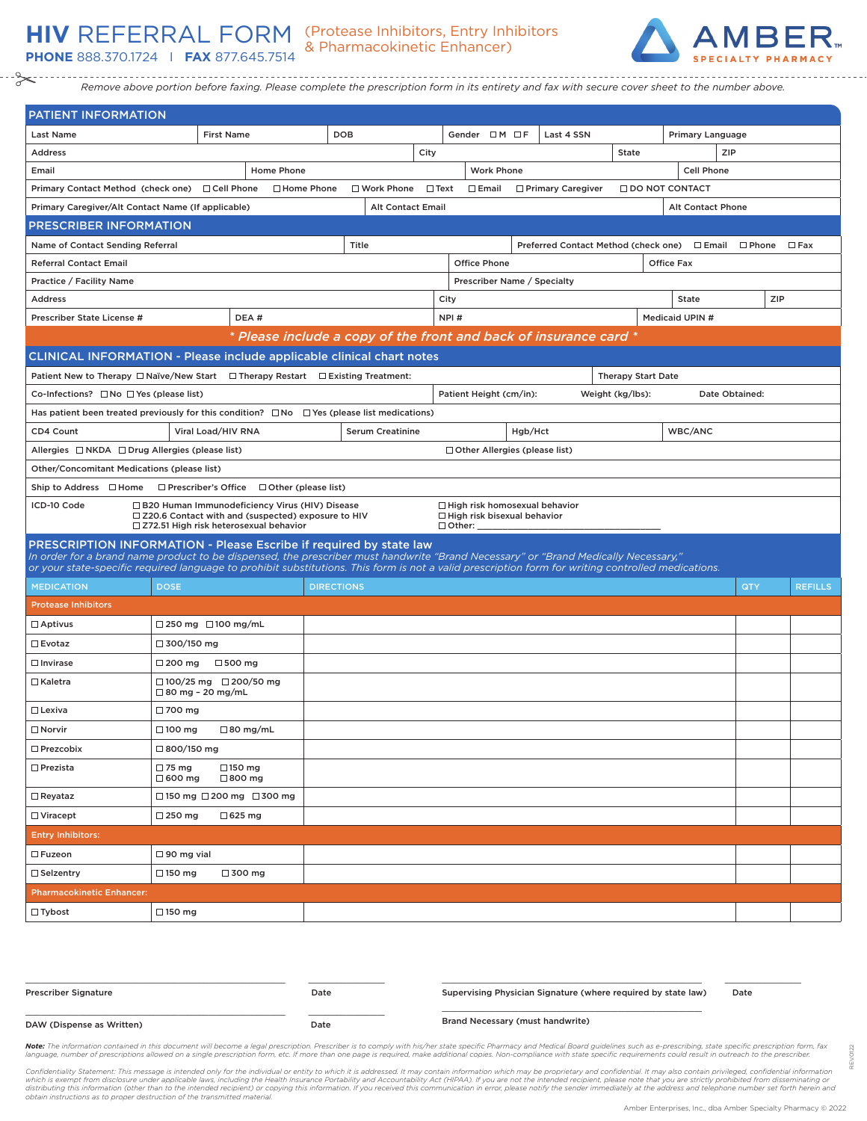

*Remove above portion before faxing. Please complete the prescription form in its entirety and fax with secure cover sheet to the number above.*

| <b>PATIENT INFORMATION</b>                                                                                                                                                                                                                                                                                                                                            |                               |                                                                                                                                                           |                            |                                                                   |             |                                                                                             |         |                                      |                           |                         |                                    |     |                |
|-----------------------------------------------------------------------------------------------------------------------------------------------------------------------------------------------------------------------------------------------------------------------------------------------------------------------------------------------------------------------|-------------------------------|-----------------------------------------------------------------------------------------------------------------------------------------------------------|----------------------------|-------------------------------------------------------------------|-------------|---------------------------------------------------------------------------------------------|---------|--------------------------------------|---------------------------|-------------------------|------------------------------------|-----|----------------|
| Last Name                                                                                                                                                                                                                                                                                                                                                             |                               | <b>First Name</b>                                                                                                                                         |                            | <b>DOB</b>                                                        |             | Gender OM OF                                                                                |         | Last 4 SSN                           |                           | Primary Language        |                                    |     |                |
| <b>Address</b>                                                                                                                                                                                                                                                                                                                                                        |                               |                                                                                                                                                           |                            |                                                                   | City        |                                                                                             |         |                                      | State                     |                         | ZIP                                |     |                |
| Email                                                                                                                                                                                                                                                                                                                                                                 |                               |                                                                                                                                                           | Home Phone                 |                                                                   |             | <b>Work Phone</b>                                                                           |         |                                      |                           | <b>Cell Phone</b>       |                                    |     |                |
| Primary Contact Method (check one)                                                                                                                                                                                                                                                                                                                                    |                               | □ Cell Phone                                                                                                                                              | □ Home Phone               | □ Work Phone                                                      | $\Box$ Text | $\square$ Email                                                                             |         | □ Primary Caregiver                  |                           | <b>O DO NOT CONTACT</b> |                                    |     |                |
| Primary Caregiver/Alt Contact Name (If applicable)                                                                                                                                                                                                                                                                                                                    |                               |                                                                                                                                                           |                            | <b>Alt Contact Email</b>                                          |             |                                                                                             |         |                                      |                           | Alt Contact Phone       |                                    |     |                |
| <b>PRESCRIBER INFORMATION</b>                                                                                                                                                                                                                                                                                                                                         |                               |                                                                                                                                                           |                            |                                                                   |             |                                                                                             |         |                                      |                           |                         |                                    |     |                |
| Name of Contact Sending Referral                                                                                                                                                                                                                                                                                                                                      |                               |                                                                                                                                                           |                            | Title                                                             |             |                                                                                             |         | Preferred Contact Method (check one) |                           |                         | $\square$ Email<br>$\square$ Phone |     | $\Box$ Fax     |
| <b>Referral Contact Email</b>                                                                                                                                                                                                                                                                                                                                         |                               |                                                                                                                                                           |                            |                                                                   |             | <b>Office Phone</b>                                                                         |         |                                      |                           | <b>Office Fax</b>       |                                    |     |                |
| Practice / Facility Name                                                                                                                                                                                                                                                                                                                                              |                               |                                                                                                                                                           |                            |                                                                   |             | Prescriber Name / Specialty                                                                 |         |                                      |                           |                         |                                    |     |                |
| <b>Address</b>                                                                                                                                                                                                                                                                                                                                                        |                               |                                                                                                                                                           |                            |                                                                   |             | City                                                                                        |         |                                      |                           | <b>State</b>            |                                    | ZIP |                |
| Prescriber State License #                                                                                                                                                                                                                                                                                                                                            |                               | DEA#                                                                                                                                                      |                            |                                                                   |             | NPI#                                                                                        |         |                                      |                           | Medicaid UPIN #         |                                    |     |                |
|                                                                                                                                                                                                                                                                                                                                                                       |                               |                                                                                                                                                           |                            | * Please include a copy of the front and back of insurance card * |             |                                                                                             |         |                                      |                           |                         |                                    |     |                |
| <b>CLINICAL INFORMATION - Please include applicable clinical chart notes</b>                                                                                                                                                                                                                                                                                          |                               |                                                                                                                                                           |                            |                                                                   |             |                                                                                             |         |                                      |                           |                         |                                    |     |                |
| Patient New to Therapy $\Box$ Naïve/New Start $\Box$ Therapy Restart $\Box$ Existing Treatment:                                                                                                                                                                                                                                                                       |                               |                                                                                                                                                           |                            |                                                                   |             |                                                                                             |         |                                      | <b>Therapy Start Date</b> |                         |                                    |     |                |
| Co-Infections? $\Box$ No $\Box$ Yes (please list)                                                                                                                                                                                                                                                                                                                     |                               |                                                                                                                                                           |                            |                                                                   |             | Patient Height (cm/in):                                                                     |         |                                      | Weight (kg/lbs):          |                         | Date Obtained:                     |     |                |
| Has patient been treated previously for this condition? $\Box$ No $\Box$ Yes (please list medications)                                                                                                                                                                                                                                                                |                               |                                                                                                                                                           |                            |                                                                   |             |                                                                                             |         |                                      |                           |                         |                                    |     |                |
| CD4 Count                                                                                                                                                                                                                                                                                                                                                             |                               | Viral Load/HIV RNA                                                                                                                                        |                            | <b>Serum Creatinine</b>                                           |             |                                                                                             | Hgb/Hct |                                      |                           | WBC/ANC                 |                                    |     |                |
| Allergies □ NKDA □ Drug Allergies (please list)                                                                                                                                                                                                                                                                                                                       |                               |                                                                                                                                                           |                            |                                                                   |             | □ Other Allergies (please list)                                                             |         |                                      |                           |                         |                                    |     |                |
| Other/Concomitant Medications (please list)                                                                                                                                                                                                                                                                                                                           |                               |                                                                                                                                                           |                            |                                                                   |             |                                                                                             |         |                                      |                           |                         |                                    |     |                |
| Ship to Address $\Box$ Home                                                                                                                                                                                                                                                                                                                                           |                               | □ Prescriber's Office                                                                                                                                     | $\Box$ Other (please list) |                                                                   |             |                                                                                             |         |                                      |                           |                         |                                    |     |                |
| ICD-10 Code                                                                                                                                                                                                                                                                                                                                                           |                               | □ B20 Human Immunodeficiency Virus (HIV) Disease<br>□ Z20.6 Contact with and (suspected) exposure to HIV<br>$\Box$ Z72.51 High risk heterosexual behavior |                            |                                                                   |             | $\Box$ High risk homosexual behavior<br>$\Box$ High risk bisexual behavior<br>$\Box$ Other: |         |                                      |                           |                         |                                    |     |                |
| <b>PRESCRIPTION INFORMATION - Please Escribe if required by state law</b><br>In order for a brand name product to be dispensed, the prescriber must handwrite "Brand Necessary" or "Brand Medically Necessary,"<br>or your state-specific required language to prohibit substitutions. This form is not a valid prescription form for writing controlled medications. |                               |                                                                                                                                                           |                            |                                                                   |             |                                                                                             |         |                                      |                           |                         |                                    |     |                |
| <b>MEDICATION</b>                                                                                                                                                                                                                                                                                                                                                     | <b>DOSE</b>                   |                                                                                                                                                           |                            | <b>DIRECTIONS</b>                                                 |             |                                                                                             |         |                                      |                           |                         | QTY                                |     | <b>REFILLS</b> |
| <b>Protease Inhibitors</b>                                                                                                                                                                                                                                                                                                                                            |                               |                                                                                                                                                           |                            |                                                                   |             |                                                                                             |         |                                      |                           |                         |                                    |     |                |
| $\Box$ Aptivus                                                                                                                                                                                                                                                                                                                                                        |                               | $\Box$ 250 mg $\Box$ 100 mg/mL                                                                                                                            |                            |                                                                   |             |                                                                                             |         |                                      |                           |                         |                                    |     |                |
| $\Box$ Evotaz                                                                                                                                                                                                                                                                                                                                                         | $\Box$ 300/150 mg             |                                                                                                                                                           |                            |                                                                   |             |                                                                                             |         |                                      |                           |                         |                                    |     |                |
| $\square$ Invirase                                                                                                                                                                                                                                                                                                                                                    | $\Box$ 200 mg                 | $\square$ 500 mg                                                                                                                                          |                            |                                                                   |             |                                                                                             |         |                                      |                           |                         |                                    |     |                |
| $\Box$ Kaletra                                                                                                                                                                                                                                                                                                                                                        |                               | $\Box$ 100/25 mg $\Box$ 200/50 mg<br>$\Box$ 80 mg - 20 mg/mL                                                                                              |                            |                                                                   |             |                                                                                             |         |                                      |                           |                         |                                    |     |                |
| $\square$ Lexiva                                                                                                                                                                                                                                                                                                                                                      | $\square$ 700 mg              |                                                                                                                                                           |                            |                                                                   |             |                                                                                             |         |                                      |                           |                         |                                    |     |                |
| $\Box$ Norvir                                                                                                                                                                                                                                                                                                                                                         | $\Box$ 100 mg                 | $\Box$ 80 mg/mL                                                                                                                                           |                            |                                                                   |             |                                                                                             |         |                                      |                           |                         |                                    |     |                |
| $\Box$ Prezcobix                                                                                                                                                                                                                                                                                                                                                      | $\Box$ 800/150 mg             |                                                                                                                                                           |                            |                                                                   |             |                                                                                             |         |                                      |                           |                         |                                    |     |                |
| $\Box$ Prezista                                                                                                                                                                                                                                                                                                                                                       | $\Box$ 75 mg<br>$\Box$ 600 mg | $\square$ 150 mg<br>□ 800 mg                                                                                                                              |                            |                                                                   |             |                                                                                             |         |                                      |                           |                         |                                    |     |                |
| $\Box$ Reyataz                                                                                                                                                                                                                                                                                                                                                        |                               | □150 mg □ 200 mg □ 300 mg                                                                                                                                 |                            |                                                                   |             |                                                                                             |         |                                      |                           |                         |                                    |     |                |
| $\Box$ Viracept                                                                                                                                                                                                                                                                                                                                                       | $\Box$ 250 mg                 | $\Box$ 625 mg                                                                                                                                             |                            |                                                                   |             |                                                                                             |         |                                      |                           |                         |                                    |     |                |
| <b>Entry Inhibitors:</b>                                                                                                                                                                                                                                                                                                                                              |                               |                                                                                                                                                           |                            |                                                                   |             |                                                                                             |         |                                      |                           |                         |                                    |     |                |
| $\Box$ Fuzeon                                                                                                                                                                                                                                                                                                                                                         | $\Box$ 90 mg vial             |                                                                                                                                                           |                            |                                                                   |             |                                                                                             |         |                                      |                           |                         |                                    |     |                |
| $\Box$ Selzentry                                                                                                                                                                                                                                                                                                                                                      | $\Box$ 150 mg                 | $\square$ 300 mg                                                                                                                                          |                            |                                                                   |             |                                                                                             |         |                                      |                           |                         |                                    |     |                |
| <b>Pharmacokinetic Enhancer:</b>                                                                                                                                                                                                                                                                                                                                      |                               |                                                                                                                                                           |                            |                                                                   |             |                                                                                             |         |                                      |                           |                         |                                    |     |                |
| $\Box$ Tybost                                                                                                                                                                                                                                                                                                                                                         | $\square$ 150 mg              |                                                                                                                                                           |                            |                                                                   |             |                                                                                             |         |                                      |                           |                         |                                    |     |                |
|                                                                                                                                                                                                                                                                                                                                                                       |                               |                                                                                                                                                           |                            |                                                                   |             |                                                                                             |         |                                      |                           |                         |                                    |     |                |

| <b>Prescriber Signature</b> | Date | Supervising Physician Signature (where required by state law) | Date |
|-----------------------------|------|---------------------------------------------------------------|------|
| DAW (Dispense as Written)   | Date | <b>Brand Necessary (must handwrite)</b>                       |      |

Note: The information contained in this document will become a legal prescription. Prescriber is to comply with his/her state specific Pharmacy and Medical Board guidelines such as e-prescribing, state specific prescriptio language, number of prescriptions allowed on a single prescription form, etc. If more than one page is required, make additional copies. Non-compliance with state specific requirements could result in outreach to the presc

Confidentiality Statement: This message is intended only for the individual or entity to which it is addressed. It may contain information which may be proprietary and confidential. It may also contain privileged, confiden *obtain instructions as to proper destruction of the transmitted material.*